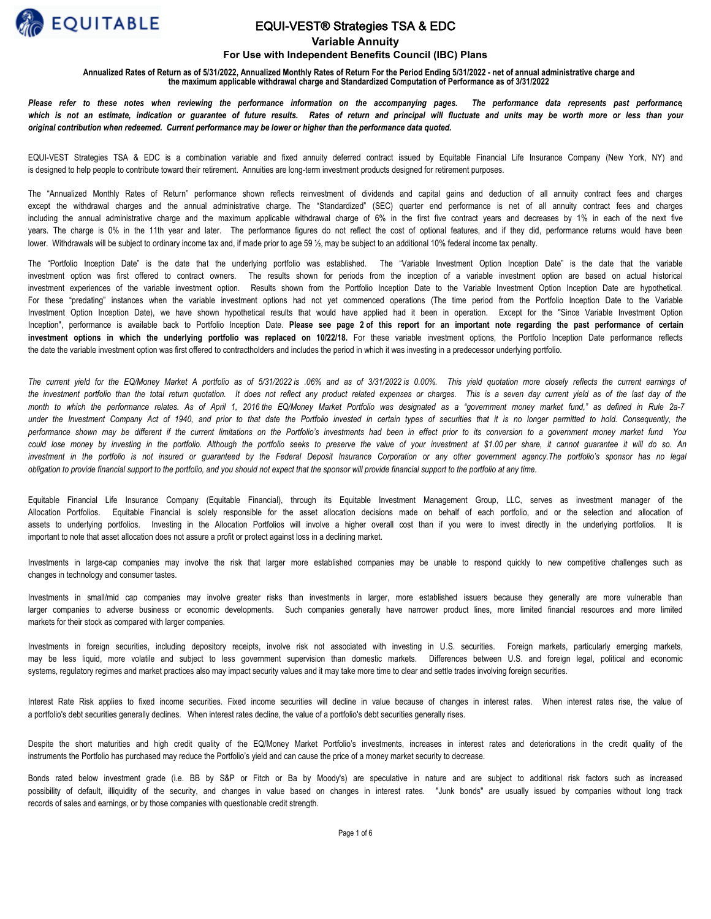

### EQUI-VEST® Strategies TSA & EDC

**Variable Annuity**

#### **For Use with Independent Benefits Council (IBC) Plans**

**Annualized Rates of Return as of 5/31/2022, Annualized Monthly Rates of Return For the Period Ending 5/31/2022 - net of annual administrative charge and the maximum applicable withdrawal charge and Standardized Computation of Performance as of 3/31/2022**

Please refer to these notes when reviewing the performance information on the accompanying pages. The performance data represents past performance, which is not an estimate, indication or guarantee of future results. Rates of return and principal will fluctuate and units may be worth more or less than your *original contribution when redeemed. Current performance may be lower or higher than the performance data quoted.*

EQUI-VEST Strategies TSA & EDC is a combination variable and fixed annuity deferred contract issued by Equitable Financial Life Insurance Company (New York, NY) and is designed to help people to contribute toward their retirement. Annuities are long-term investment products designed for retirement purposes.

The "Annualized Monthly Rates of Return" performance shown reflects reinvestment of dividends and capital gains and deduction of all annuity contract fees and charges except the withdrawal charges and the annual administrative charge. The "Standardized" (SEC) quarter end performance is net of all annuity contract fees and charges including the annual administrative charge and the maximum applicable withdrawal charge of 6% in the first five contract years and decreases by 1% in each of the next five years. The charge is 0% in the 11th year and later. The performance figures do not reflect the cost of optional features, and if they did, performance returns would have been lower. Withdrawals will be subject to ordinary income tax and, if made prior to age 59 ½, may be subject to an additional 10% federal income tax penalty.

The "Portfolio Inception Date" is the date that the underlying portfolio was established. The "Variable Investment Option Inception Date" is the date that the variable investment option was first offered to contract owners. The results shown for periods from the inception of a variable investment option are based on actual historical investment experiences of the variable investment option. Results shown from the Portfolio Inception Date to the Variable Investment Option Inception Date are hypothetical. For these "predating" instances when the variable investment options had not yet commenced operations (The time period from the Portfolio Inception Date to the Variable Investment Option Inception Date), we have shown hypothetical results that would have applied had it been in operation. Except for the "Since Variable Investment Option Inception", performance is available back to Portfolio Inception Date. **Please see page 2 of this report for an important note regarding the past performance of certain investment options in which the underlying portfolio was replaced on 10/22/18.** For these variable investment options, the Portfolio Inception Date performance reflects the date the variable investment option was first offered to contractholders and includes the period in which it was investing in a predecessor underlying portfolio.

*The current yield for the EQ/Money Market A portfolio as of 5/31/2022 is .06% and as of 3/31/2022 is 0.00%. This yield quotation more closely reflects the current earnings of*  the investment portfolio than the total return quotation. It does not reflect any product related expenses or charges. This is a seven day current yield as of the last day of the *month to which the performance relates. As of April 1, 2016 the EQ/Money Market Portfolio was designated as a "government money market fund," as defined in Rule 2a-7 under the Investment Company Act of 1940, and prior to that date the Portfolio invested in certain types of securities that it is no longer permitted to hold. Consequently, the performance shown may be different if the current limitations on the Portfolio's investments had been in effect prior to its conversion to a government money market fund You*  could lose money by investing in the portfolio. Although the portfolio seeks to preserve the value of your investment at \$1.00 per share, it cannot quarantee it will do so. An investment in the portfolio is not insured or quaranteed by the Federal Deposit Insurance Corporation or any other government agency.The portfolio's sponsor has no legal *obligation to provide financial support to the portfolio, and you should not expect that the sponsor will provide financial support to the portfolio at any time.*

Equitable Financial Life Insurance Company (Equitable Financial), through its Equitable Investment Management Group, LLC, serves as investment manager of the Allocation Portfolios. Equitable Financial is solely responsible for the asset allocation decisions made on behalf of each portfolio, and or the selection and allocation of assets to underlying portfolios. Investing in the Allocation Portfolios will involve a higher overall cost than if you were to invest directly in the underlying portfolios. It is important to note that asset allocation does not assure a profit or protect against loss in a declining market.

Investments in large-cap companies may involve the risk that larger more established companies may be unable to respond quickly to new competitive challenges such as changes in technology and consumer tastes.

Investments in small/mid cap companies may involve greater risks than investments in larger, more established issuers because they generally are more vulnerable than larger companies to adverse business or economic developments. Such companies generally have narrower product lines, more limited financial resources and more limited markets for their stock as compared with larger companies.

Investments in foreign securities, including depository receipts, involve risk not associated with investing in U.S. securities. Foreign markets, particularly emerging markets, may be less liquid, more volatile and subject to less government supervision than domestic markets. Differences between U.S. and foreign legal, political and economic systems, regulatory regimes and market practices also may impact security values and it may take more time to clear and settle trades involving foreign securities.

Interest Rate Risk applies to fixed income securities. Fixed income securities will decline in value because of changes in interest rates. When interest rates rise, the value of a portfolio's debt securities generally declines. When interest rates decline, the value of a portfolio's debt securities generally rises.

Despite the short maturities and high credit quality of the EQ/Money Market Portfolio's investments, increases in interest rates and deteriorations in the credit quality of the instruments the Portfolio has purchased may reduce the Portfolio's yield and can cause the price of a money market security to decrease.

Bonds rated below investment grade (i.e. BB by S&P or Fitch or Ba by Moody's) are speculative in nature and are subject to additional risk factors such as increased possibility of default, illiquidity of the security, and changes in value based on changes in interest rates. "Junk bonds" are usually issued by companies without long track records of sales and earnings, or by those companies with questionable credit strength.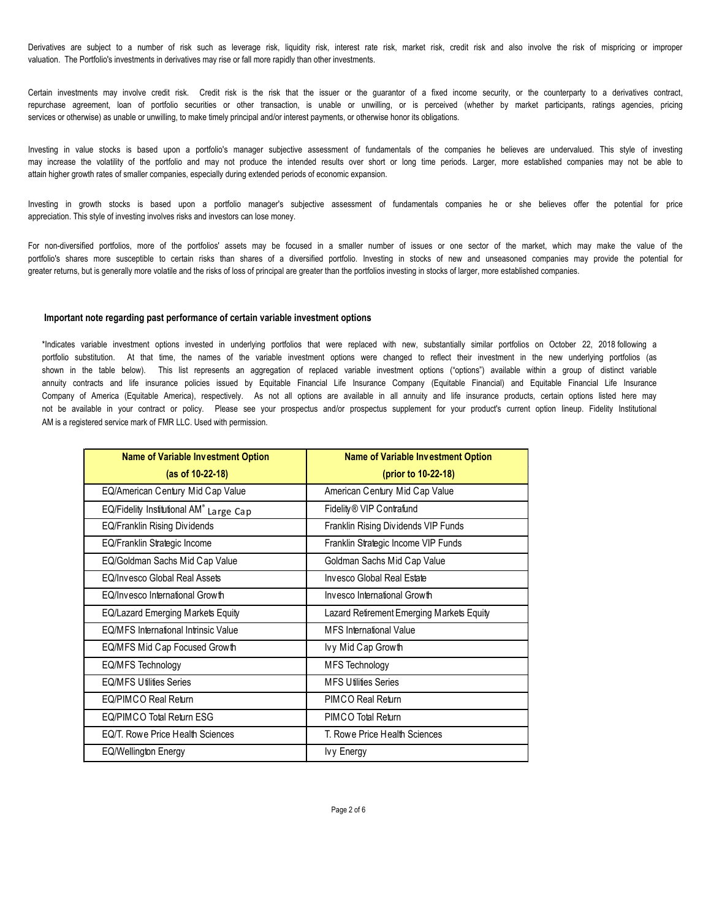Derivatives are subject to a number of risk such as leverage risk, liquidity risk, interest rate risk, market risk, credit risk and also involve the risk of mispricing or improper valuation. The Portfolio's investments in derivatives may rise or fall more rapidly than other investments.

Certain investments may involve credit risk. Credit risk is the risk that the issuer or the guarantor of a fixed income security, or the counterparty to a derivatives contract, repurchase agreement, loan of portfolio securities or other transaction, is unable or unwilling, or is perceived (whether by market participants, ratings agencies, pricing services or otherwise) as unable or unwilling, to make timely principal and/or interest payments, or otherwise honor its obligations.

Investing in value stocks is based upon a portfolio's manager subjective assessment of fundamentals of the companies he believes are undervalued. This style of investing may increase the volatility of the portfolio and may not produce the intended results over short or long time periods. Larger, more established companies may not be able to attain higher growth rates of smaller companies, especially during extended periods of economic expansion.

Investing in growth stocks is based upon a portfolio manager's subjective assessment of fundamentals companies he or she believes offer the potential for price appreciation. This style of investing involves risks and investors can lose money.

For non-diversified portfolios, more of the portfolios' assets may be focused in a smaller number of issues or one sector of the market, which may make the value of the portfolio's shares more susceptible to certain risks than shares of a diversified portfolio. Investing in stocks of new and unseasoned companies may provide the potential for greater returns, but is generally more volatile and the risks of loss of principal are greater than the portfolios investing in stocks of larger, more established companies.

#### **Important note regarding past performance of certain variable investment options**

\*Indicates variable investment options invested in underlying portfolios that were replaced with new, substantially similar portfolios on October 22, 2018 following a portfolio substitution. At that time, the names of the variable investment options were changed to reflect their investment in the new underlying portfolios (as shown in the table below). This list represents an aggregation of replaced variable investment options ("options") available within a group of distinct variable annuity contracts and life insurance policies issued by Equitable Financial Life Insurance Company (Equitable Financial) and Equitable Financial Life Insurance Company of America (Equitable America), respectively. As not all options are available in all annuity and life insurance products, certain options listed here may not be available in your contract or policy. Please see your prospectus and/or prospectus supplement for your product's current option lineup. Fidelity Institutional AM is a registered service mark of FMR LLC. Used with permission.

| <b>Name of Variable Investment Option</b>   | <b>Name of Variable Investment Option</b> |  |  |  |  |  |
|---------------------------------------------|-------------------------------------------|--|--|--|--|--|
| $(as of 10-22-18)$                          | (prior to 10-22-18)                       |  |  |  |  |  |
| EQ/American Century Mid Cap Value           | American Century Mid Cap Value            |  |  |  |  |  |
| EQ/Fidelity Institutional AM® Large Cap     | Fidelity® VIP Contrafund                  |  |  |  |  |  |
| EQ/Franklin Rising Dividends                | Franklin Rising Dividends VIP Funds       |  |  |  |  |  |
| EQ/Franklin Strategic Income                | Franklin Strategic Income VIP Funds       |  |  |  |  |  |
| EQ/Goldman Sachs Mid Cap Value              | Goldman Sachs Mid Cap Value               |  |  |  |  |  |
| EQ/Invesco Global Real Assets               | Invesco Global Real Estate                |  |  |  |  |  |
| EQ/Invesco International Growth             | Invesco International Growth              |  |  |  |  |  |
| EQ/Lazard Emerging Markets Equity           | Lazard Retrement Emerging Markets Equity  |  |  |  |  |  |
| <b>FO/MES International Intrinsic Value</b> | <b>MFS</b> International Value            |  |  |  |  |  |
| EQ/MFS Mid Cap Focused Growth               | lvy Mid Cap Growth                        |  |  |  |  |  |
| EQ/MFS Technology                           | <b>MFS Technology</b>                     |  |  |  |  |  |
| <b>FO/MES Ufilifies Series</b>              | <b>MFS Ufilifies Series</b>               |  |  |  |  |  |
| EQ/PIMCO Real Return                        | PIMCO Real Return                         |  |  |  |  |  |
| EQ/PIMCO Total Return ESG                   | PIMCO Total Return                        |  |  |  |  |  |
| FO/T, Rowe Price Health Sciences            | T. Rowe Price Health Sciences             |  |  |  |  |  |
| EQ/Wellington Energy                        | lvy Energy                                |  |  |  |  |  |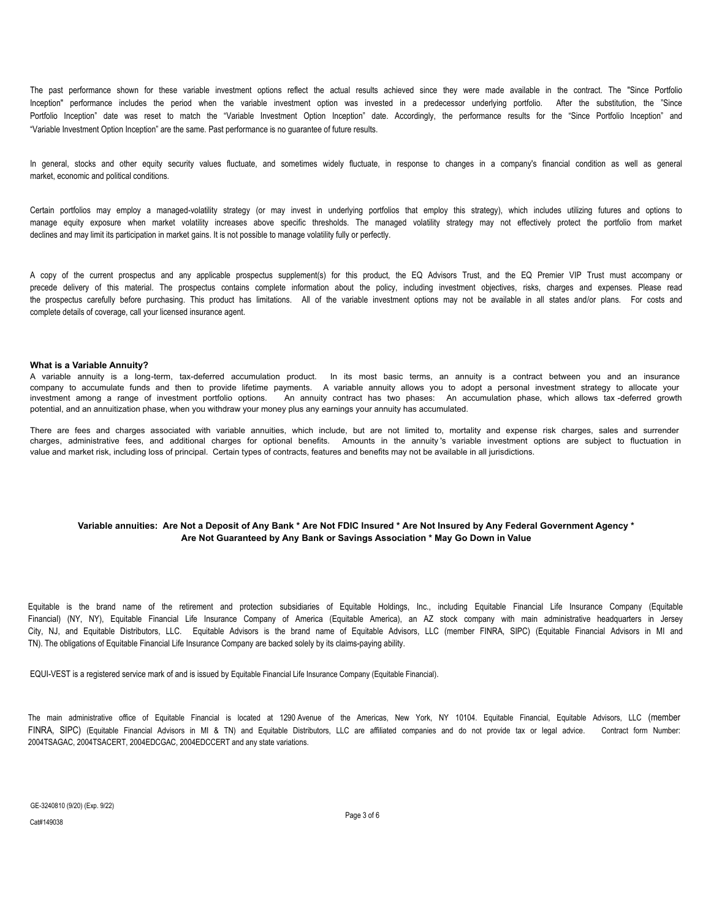The past performance shown for these variable investment options reflect the actual results achieved since they were made available in the contract. The "Since Portfolio Inception" performance includes the period when the variable investment option was invested in a predecessor underlying portfolio. After the substitution, the "Since Portfolio Inception" date was reset to match the "Variable Investment Option Inception" date. Accordingly, the performance results for the "Since Portfolio Inception" and "Variable Investment Option Inception" are the same. Past performance is no guarantee of future results.

In general, stocks and other equity security values fluctuate, and sometimes widely fluctuate, in response to changes in a company's financial condition as well as general market, economic and political conditions.

Certain portfolios may employ a managed-volatility strategy (or may invest in underlying portfolios that employ this strategy), which includes utilizing futures and options to manage equity exposure when market volatility increases above specific thresholds. The managed volatility strategy may not effectively protect the portfolio from market declines and may limit its participation in market gains. It is not possible to manage volatility fully or perfectly.

A copy of the current prospectus and any applicable prospectus supplement(s) for this product, the EQ Advisors Trust, and the EQ Premier VIP Trust must accompany or precede delivery of this material. The prospectus contains complete information about the policy, including investment objectives, risks, charges and expenses. Please read the prospectus carefully before purchasing. This product has limitations. All of the variable investment options may not be available in all states and/or plans. For costs and complete details of coverage, call your licensed insurance agent.

#### **What is a Variable Annuity?**

A variable annuity is a long-term, tax-deferred accumulation product. In its most basic terms, an annuity is a contract between you and an insurance company to accumulate funds and then to provide lifetime payments. A variable annuity allows you to adopt a personal investment strategy to allocate your investment among a range of investment portfolio options. An annuity contract has two phases: An accumulation phase, which allows tax -deferred growth potential, and an annuitization phase, when you withdraw your money plus any earnings your annuity has accumulated.

There are fees and charges associated with variable annuities, which include, but are not limited to, mortality and expense risk charges, sales and surrender charges, administrative fees, and additional charges for optional benefits. Amounts in the annuity 's variable investment options are subject to fluctuation in value and market risk, including loss of principal. Certain types of contracts, features and benefits may not be available in all jurisdictions.

#### **Variable annuities: Are Not a Deposit of Any Bank \* Are Not FDIC Insured \* Are Not Insured by Any Federal Government Agency \* Are Not Guaranteed by Any Bank or Savings Association \* May Go Down in Value**

Equitable is the brand name of the retirement and protection subsidiaries of Equitable Holdings, Inc., including Equitable Financial Life Insurance Company (Equitable Financial) (NY, NY), Equitable Financial Life Insurance Company of America (Equitable America), an AZ stock company with main administrative headquarters in Jersey City, NJ, and Equitable Distributors, LLC. Equitable Advisors is the brand name of Equitable Advisors, LLC (member FINRA, SIPC) (Equitable Financial Advisors in MI and TN). The obligations of Equitable Financial Life Insurance Company are backed solely by its claims-paying ability.

EQUI-VEST is a registered service mark of and is issued by Equitable Financial Life Insurance Company (Equitable Financial).

The main administrative office of Equitable Financial is located at 1290 Avenue of the Americas, New York, NY 10104. Equitable Financial, Equitable Advisors, LLC (member FINRA, SIPC) (Equitable Financial Advisors in MI & TN) and Equitable Distributors, LLC are affiliated companies and do not provide tax or legal advice. Contract form Number: 2004TSAGAC, 2004TSACERT, 2004EDCGAC, 2004EDCCERT and any state variations.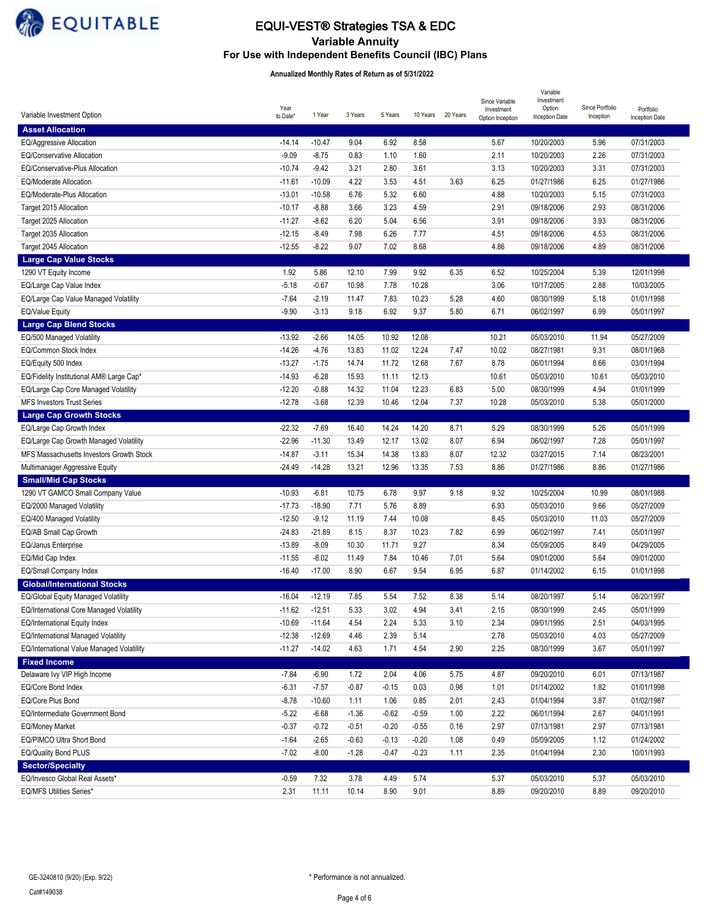

# **Variable Annuity** EQUI-VEST® Strategies TSA & EDC

**For Use with Independent Benefits Council (IBC) Plans** 

#### **Annualized Monthly Rates of Return as of 5/31/2022**

|                                                                           |          |          |              |         |              |          | Since Variable   | Variable<br>Investment   |                 |                          |
|---------------------------------------------------------------------------|----------|----------|--------------|---------|--------------|----------|------------------|--------------------------|-----------------|--------------------------|
| Variable Investment Option                                                | Year     | 1 Year   | 3 Years      | 5 Years | 10 Years     | 20 Years | Investment       | Option                   | Since Portfolio | Portfolio                |
|                                                                           | to Date* |          |              |         |              |          | Option Inception | Inception Date           | Inception       | Inception Date           |
| <b>Asset Allocation</b>                                                   |          |          |              |         |              |          |                  |                          |                 |                          |
| EQ/Aggressive Allocation<br>EQ/Conservative Allocation                    | $-14.14$ | $-10.47$ | 9.04         | 6.92    | 8.58         |          | 5.67             | 10/20/2003               | 5.96            | 07/31/2003               |
|                                                                           | $-9.09$  | $-8.75$  | 0.83         | 1.10    | 1.60         |          | 2.11             | 10/20/2003               | 2.26            | 07/31/2003               |
| EQ/Conservative-Plus Allocation                                           | $-10.74$ | $-9.42$  | 3.21         | 2.80    | 3.61         |          | 3.13             | 10/20/2003               | 3.31            | 07/31/2003               |
| EQ/Moderate Allocation                                                    | $-11.61$ | $-10.09$ | 4.22         | 3.53    | 4.51         | 3.63     | 6.25             | 01/27/1986               | 6.25            | 01/27/1986               |
| EQ/Moderate-Plus Allocation                                               | $-13.01$ | $-10.58$ | 6.76         | 5.32    | 6.60         |          | 4.88             | 10/20/2003               | 5.15            | 07/31/2003               |
| Target 2015 Allocation                                                    | $-10.17$ | $-8.88$  | 3.66         | 3.23    | 4.59         |          | 2.91             | 09/18/2006               | 2.93            | 08/31/2006               |
| Target 2025 Allocation                                                    | $-11.27$ | $-8.62$  | 6.20         | 5.04    | 6.56         |          | 3.91             | 09/18/2006               | 3.93            | 08/31/2006               |
| Target 2035 Allocation                                                    | $-12.15$ | $-8.49$  | 7.98         | 6.26    | 7.77         |          | 4.51             | 09/18/2006               | 4.53            | 08/31/2006               |
| Target 2045 Allocation                                                    | $-12.55$ | $-8.22$  | 9.07         | 7.02    | 8.68         |          | 4.86             | 09/18/2006               | 4.89            | 08/31/2006               |
| <b>Large Cap Value Stocks</b>                                             |          |          |              |         |              |          |                  |                          |                 |                          |
| 1290 VT Equity Income                                                     | 1.92     | 5.86     | 12.10        | 7.99    | 9.92         | 6.35     | 6.52             | 10/25/2004               | 5.39            | 12/01/1998               |
| EQ/Large Cap Value Index                                                  | $-5.18$  | $-0.67$  | 10.98        | 7.78    | 10.28        |          | 3.06             | 10/17/2005               | 2.88            | 10/03/2005               |
| EQ/Large Cap Value Managed Volatility                                     | $-7.64$  | $-2.19$  | 11.47        | 7.83    | 10.23        | 5.28     | 4.60             | 08/30/1999               | 5.18            | 01/01/1998               |
| <b>EQ/Value Equity</b>                                                    | $-9.90$  | $-3.13$  | 9.18         | 6.92    | 9.37         | 5.80     | 6.71             | 06/02/1997               | 6.99            | 05/01/1997               |
| <b>Large Cap Blend Stocks</b>                                             |          |          |              |         |              |          |                  |                          |                 |                          |
| EQ/500 Managed Volatility                                                 | $-13.92$ | $-2.66$  | 14.05        | 10.92   | 12.08        |          | 10.21            | 05/03/2010               | 11.94           | 05/27/2009               |
| EQ/Common Stock Index                                                     | $-14.26$ | $-4.76$  | 13.83        | 11.02   | 12.24        | 7.47     | 10.02            | 08/27/1981               | 9.31            | 08/01/1968               |
| EQ/Equity 500 Index                                                       | $-13.27$ | $-1.75$  | 14.74        | 11.72   | 12.68        | 7.67     | 8.78             | 06/01/1994               | 8.66            | 03/01/1994               |
| EQ/Fidelity Institutional AM® Large Cap*                                  | $-14.93$ | $-6.28$  | 15.93        | 11.11   | 12.13        |          | 10.61            | 05/03/2010               | 10.61           | 05/03/2010               |
| EQ/Large Cap Core Managed Volatility                                      | $-12.20$ | $-0.88$  | 14.32        | 11.04   | 12.23        | 6.83     | 5.00             | 08/30/1999               | 4.94            | 01/01/1999               |
| <b>MFS Investors Trust Series</b>                                         | $-12.78$ | $-3.68$  | 12.39        | 10.46   | 12.04        | 7.37     | 10.28            | 05/03/2010               | 5.38            | 05/01/2000               |
| <b>Large Cap Growth Stocks</b>                                            |          |          |              |         |              |          |                  |                          |                 |                          |
| EQ/Large Cap Growth Index                                                 | $-22.32$ | $-7.69$  | 16.40        | 14.24   | 14.20        | 8.71     | 5.29             | 08/30/1999               | 5.26            | 05/01/1999               |
| EQ/Large Cap Growth Managed Volatility                                    | $-22.96$ | $-11.30$ | 13.49        | 12.17   | 13.02        | 8.07     | 6.94             | 06/02/1997               | 7.28            | 05/01/1997               |
| MFS Massachusetts Investors Growth Stock                                  | $-14.87$ | $-3.11$  | 15.34        | 14.38   | 13.83        | 8.07     | 12.32            | 03/27/2015               | 7.14            | 08/23/2001               |
| Multimanager Aggressive Equity                                            | $-24.49$ | $-14.28$ | 13.21        | 12.96   | 13.35        | 7.53     | 8.86             | 01/27/1986               | 8.86            | 01/27/1986               |
| <b>Small/Mid Cap Stocks</b>                                               |          |          |              |         |              |          |                  |                          |                 |                          |
| 1290 VT GAMCO Small Company Value                                         | $-10.93$ | $-6.81$  | 10.75        | 6.78    | 9.97         | 9.18     | 9.32             | 10/25/2004               | 10.99           | 08/01/1988               |
| EQ/2000 Managed Volatility                                                | $-17.73$ | $-18.90$ | 7.71         | 5.76    | 8.89         |          | 6.93             | 05/03/2010               | 9.66            | 05/27/2009               |
| EQ/400 Managed Volatility                                                 | $-12.50$ | $-9.12$  | 11.19        | 7.44    | 10.08        |          | 8.45             | 05/03/2010               | 11.03           | 05/27/2009               |
| EQ/AB Small Cap Growth                                                    | $-24.83$ | -21.89   | 8.15         | 8.37    | 10.23        | 7.82     | 6.99             | 06/02/1997               | 7.41            | 05/01/1997<br>04/29/2005 |
| EQ/Janus Enterprise                                                       | $-13.89$ | $-8.09$  | 10.30        | 11.71   | 9.27         |          | 8.34             | 05/09/2005               | 8.49            |                          |
| EQ/Mid Cap Index                                                          | $-11.55$ | $-8.02$  | 11.49        | 7.84    | 10.46        | 7.01     | 5.64             | 09/01/2000<br>01/14/2002 | 5.64            | 09/01/2000               |
| EQ/Small Company Index                                                    | $-16.40$ | $-17.00$ | 8.90         | 6.67    | 9.54         | 6.95     | 6.87             |                          | 6.15            | 01/01/1998               |
| <b>Global/International Stocks</b><br>EQ/Global Equity Managed Volatility | $-16.04$ | $-12.19$ | 7.85         | 5.54    | 7.52         | 8.38     | 5.14             | 08/20/1997               | 5.14            | 08/20/1997               |
| EQ/International Core Managed Volatility                                  | $-11.62$ | $-12.51$ | 5.33         | 3.02    | 4.94         | 3.41     | 2.15             | 08/30/1999               | 2.45            | 05/01/1999               |
|                                                                           | $-10.69$ | $-11.64$ | 4.54         | 2.24    | 5.33         | 3.10     | 2.34             | 09/01/1995               | 2.51            | 04/03/1995               |
| EQ/International Equity Index<br>EQ/International Managed Volatility      | $-12.38$ | $-12.69$ |              |         |              |          |                  | 05/03/2010               |                 | 05/27/2009               |
| EQ/International Value Managed Volatility                                 | $-11.27$ | $-14.02$ | 4.46<br>4.63 | 2.39    | 5.14<br>4.54 | 2.90     | 2.78<br>2.25     | 08/30/1999               | 4.03<br>3.67    | 05/01/1997               |
| <b>Fixed Income</b>                                                       |          |          |              | 1.71    |              |          |                  |                          |                 |                          |
| Delaware Ivy VIP High Income                                              | $-7.84$  | $-6.90$  | 1.72         | 2.04    | 4.06         | 5.75     | 4.87             | 09/20/2010               | 6.01            | 07/13/1987               |
| EQ/Core Bond Index                                                        | $-6.31$  | $-7.57$  | $-0.87$      | $-0.15$ | 0.03         | 0.98     | 1.01             | 01/14/2002               |                 | 01/01/1998               |
| EQ/Core Plus Bond                                                         | $-8.78$  | $-10.60$ | 1.11         | 1.06    | 0.85         | 2.01     | 2.43             | 01/04/1994               | 1.82<br>3.87    | 01/02/1987               |
| EQ/Intermediate Government Bond                                           | $-5.22$  | $-6.68$  | $-1.36$      | $-0.62$ | $-0.59$      | 1.00     | 2.22             | 06/01/1994               | 2.67            | 04/01/1991               |
| <b>EQ/Money Market</b>                                                    | $-0.37$  | $-0.72$  | $-0.51$      | $-0.20$ | $-0.55$      | 0.16     | 2.97             | 07/13/1981               | 2.97            | 07/13/1981               |
| EQ/PIMCO Ultra Short Bond                                                 | $-1.64$  | $-2.65$  | $-0.63$      | $-0.13$ | $-0.20$      | 1.08     | 0.49             | 05/09/2005               | 1.12            | 01/24/2002               |
| EQ/Quality Bond PLUS                                                      | $-7.02$  | $-8.00$  |              |         |              |          | 2.35             | 01/04/1994               | 2.30            | 10/01/1993               |
| <b>Sector/Specialty</b>                                                   |          |          | $-1.28$      | $-0.47$ | $-0.23$      | 1.11     |                  |                          |                 |                          |
| EQ/Invesco Global Real Assets*                                            | $-0.59$  | 7.32     | 3.78         | 4.49    | 5.74         |          | 5.37             | 05/03/2010               | 5.37            | 05/03/2010               |
| EQ/MFS Utilities Series*                                                  | 2.31     | 11.11    | 10.14        | 8.90    | 9.01         |          | 8.89             | 09/20/2010               | 8.89            | 09/20/2010               |
|                                                                           |          |          |              |         |              |          |                  |                          |                 |                          |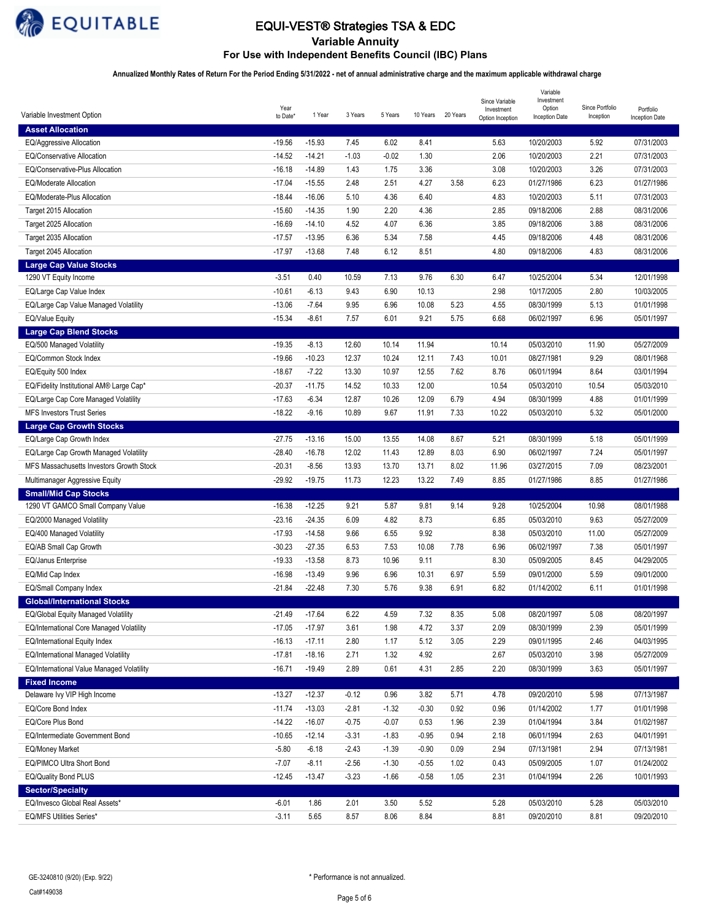

# EQUI-VEST® Strategies TSA & EDC

**Variable Annuity For Use with Independent Benefits Council (IBC) Plans** 

**Annualized Monthly Rates of Return For the Period Ending 5/31/2022 - net of annual administrative charge and the maximum applicable withdrawal charge**

|                                           | Year     |          |         |         |          |          | Since Variable<br>Investment | Variable<br>Investment<br>Option | Since Portfolio | Portfolio      |
|-------------------------------------------|----------|----------|---------|---------|----------|----------|------------------------------|----------------------------------|-----------------|----------------|
| Variable Investment Option                | to Date* | 1 Year   | 3 Years | 5 Years | 10 Years | 20 Years | Option Inception             | <b>Inception Date</b>            | Inception       | Inception Date |
| <b>Asset Allocation</b>                   |          |          |         |         |          |          |                              |                                  |                 |                |
| EQ/Aggressive Allocation                  | $-19.56$ | $-15.93$ | 7.45    | 6.02    | 8.41     |          | 5.63                         | 10/20/2003                       | 5.92            | 07/31/2003     |
| <b>EQ/Conservative Allocation</b>         | $-14.52$ | $-14.21$ | $-1.03$ | $-0.02$ | 1.30     |          | 2.06                         | 10/20/2003                       | 2.21            | 07/31/2003     |
| EQ/Conservative-Plus Allocation           | $-16.18$ | $-14.89$ | 1.43    | 1.75    | 3.36     |          | 3.08                         | 10/20/2003                       | 3.26            | 07/31/2003     |
| <b>EQ/Moderate Allocation</b>             | $-17.04$ | $-15.55$ | 2.48    | 2.51    | 4.27     | 3.58     | 6.23                         | 01/27/1986                       | 6.23            | 01/27/1986     |
| EQ/Moderate-Plus Allocation               | $-18.44$ | $-16.06$ | 5.10    | 4.36    | 6.40     |          | 4.83                         | 10/20/2003                       | 5.11            | 07/31/2003     |
| Target 2015 Allocation                    | $-15.60$ | $-14.35$ | 1.90    | 2.20    | 4.36     |          | 2.85                         | 09/18/2006                       | 2.88            | 08/31/2006     |
| Target 2025 Allocation                    | $-16.69$ | $-14.10$ | 4.52    | 4.07    | 6.36     |          | 3.85                         | 09/18/2006                       | 3.88            | 08/31/2006     |
| Target 2035 Allocation                    | $-17.57$ | $-13.95$ | 6.36    | 5.34    | 7.58     |          | 4.45                         | 09/18/2006                       | 4.48            | 08/31/2006     |
| Target 2045 Allocation                    | $-17.97$ | $-13.68$ | 7.48    | 6.12    | 8.51     |          | 4.80                         | 09/18/2006                       | 4.83            | 08/31/2006     |
| <b>Large Cap Value Stocks</b>             |          |          |         |         |          |          |                              |                                  |                 |                |
| 1290 VT Equity Income                     | $-3.51$  | 0.40     | 10.59   | 7.13    | 9.76     | 6.30     | 6.47                         | 10/25/2004                       | 5.34            | 12/01/1998     |
| EQ/Large Cap Value Index                  | $-10.61$ | $-6.13$  | 9.43    | 6.90    | 10.13    |          | 2.98                         | 10/17/2005                       | 2.80            | 10/03/2005     |
| EQ/Large Cap Value Managed Volatility     | $-13.06$ | $-7.64$  | 9.95    | 6.96    | 10.08    | 5.23     | 4.55                         | 08/30/1999                       | 5.13            | 01/01/1998     |
| <b>EQ/Value Equity</b>                    | $-15.34$ | $-8.61$  | 7.57    | 6.01    | 9.21     | 5.75     | 6.68                         | 06/02/1997                       | 6.96            | 05/01/1997     |
| <b>Large Cap Blend Stocks</b>             |          |          |         |         |          |          |                              |                                  |                 |                |
| EQ/500 Managed Volatility                 | $-19.35$ | $-8.13$  | 12.60   | 10.14   | 11.94    |          | 10.14                        | 05/03/2010                       | 11.90           | 05/27/2009     |
| EQ/Common Stock Index                     | $-19.66$ | $-10.23$ | 12.37   | 10.24   | 12.11    | 7.43     | 10.01                        | 08/27/1981                       | 9.29            | 08/01/1968     |
| EQ/Equity 500 Index                       | $-18.67$ | $-7.22$  | 13.30   | 10.97   | 12.55    | 7.62     | 8.76                         | 06/01/1994                       | 8.64            | 03/01/1994     |
| EQ/Fidelity Institutional AM® Large Cap*  | $-20.37$ | $-11.75$ | 14.52   | 10.33   | 12.00    |          | 10.54                        | 05/03/2010                       | 10.54           | 05/03/2010     |
| EQ/Large Cap Core Managed Volatility      | $-17.63$ | $-6.34$  | 12.87   | 10.26   | 12.09    | 6.79     | 4.94                         | 08/30/1999                       | 4.88            | 01/01/1999     |
| <b>MFS Investors Trust Series</b>         | $-18.22$ | $-9.16$  | 10.89   | 9.67    | 11.91    | 7.33     | 10.22                        | 05/03/2010                       | 5.32            | 05/01/2000     |
| <b>Large Cap Growth Stocks</b>            |          |          |         |         |          |          |                              |                                  |                 |                |
| EQ/Large Cap Growth Index                 | $-27.75$ | $-13.16$ | 15.00   | 13.55   | 14.08    | 8.67     | 5.21                         | 08/30/1999                       | 5.18            | 05/01/1999     |
| EQ/Large Cap Growth Managed Volatility    | $-28.40$ | $-16.78$ | 12.02   | 11.43   | 12.89    | 8.03     | 6.90                         | 06/02/1997                       | 7.24            | 05/01/1997     |
| MFS Massachusetts Investors Growth Stock  | $-20.31$ | $-8.56$  | 13.93   | 13.70   | 13.71    | 8.02     | 11.96                        | 03/27/2015                       | 7.09            | 08/23/2001     |
| Multimanager Aggressive Equity            | $-29.92$ | $-19.75$ | 11.73   | 12.23   | 13.22    | 7.49     | 8.85                         | 01/27/1986                       | 8.85            | 01/27/1986     |
| <b>Small/Mid Cap Stocks</b>               |          |          |         |         |          |          |                              |                                  |                 |                |
| 1290 VT GAMCO Small Company Value         | $-16.38$ | $-12.25$ | 9.21    | 5.87    | 9.81     | 9.14     | 9.28                         | 10/25/2004                       | 10.98           | 08/01/1988     |
| EQ/2000 Managed Volatility                | $-23.16$ | $-24.35$ | 6.09    | 4.82    | 8.73     |          | 6.85                         | 05/03/2010                       | 9.63            | 05/27/2009     |
| EQ/400 Managed Volatility                 | $-17.93$ | $-14.58$ | 9.66    | 6.55    | 9.92     |          | 8.38                         | 05/03/2010                       | 11.00           | 05/27/2009     |
| EQ/AB Small Cap Growth                    | $-30.23$ | $-27.35$ | 6.53    | 7.53    | 10.08    | 7.78     | 6.96                         | 06/02/1997                       | 7.38            | 05/01/1997     |
| <b>EQ/Janus Enterprise</b>                | $-19.33$ | $-13.58$ | 8.73    | 10.96   | 9.11     |          | 8.30                         | 05/09/2005                       | 8.45            | 04/29/2005     |
| EQ/Mid Cap Index                          | $-16.98$ | $-13.49$ | 9.96    | 6.96    | 10.31    | 6.97     | 5.59                         | 09/01/2000                       | 5.59            | 09/01/2000     |
| EQ/Small Company Index                    | $-21.84$ | $-22.48$ | 7.30    | 5.76    | 9.38     | 6.91     | 6.82                         | 01/14/2002                       | 6.11            | 01/01/1998     |
| <b>Global/International Stocks</b>        |          |          |         |         |          |          |                              |                                  |                 |                |
| EQ/Global Equity Managed Volatility       | $-21.49$ | $-17.64$ | 6.22    | 4.59    | 7.32     | 8.35     | 5.08                         | 08/20/1997                       | 5.08            | 08/20/1997     |
| EQ/International Core Managed Volatility  | $-17.05$ | $-17.97$ | 3.61    | 1.98    | 4.72     | 3.37     | 2.09                         | 08/30/1999                       | 2.39            | 05/01/1999     |
| EQ/International Equity Index             | $-16.13$ | $-17.11$ | 2.80    | 1.17    | 5.12     | 3.05     | 2.29                         | 09/01/1995                       | 2.46            | 04/03/1995     |
| EQ/International Managed Volatility       | $-17.81$ | $-18.16$ | 2.71    | 1.32    | 4.92     |          | 2.67                         | 05/03/2010                       | 3.98            | 05/27/2009     |
| EQ/International Value Managed Volatility | $-16.71$ | $-19.49$ | 2.89    | 0.61    | 4.31     | 2.85     | 2.20                         | 08/30/1999                       | 3.63            | 05/01/1997     |
| <b>Fixed Income</b>                       |          |          |         |         |          |          |                              |                                  |                 |                |
| Delaware Ivy VIP High Income              | $-13.27$ | $-12.37$ | $-0.12$ | 0.96    | 3.82     | 5.71     | 4.78                         | 09/20/2010                       | 5.98            | 07/13/1987     |
| EQ/Core Bond Index                        | $-11.74$ | $-13.03$ | $-2.81$ | $-1.32$ | $-0.30$  | 0.92     | 0.96                         | 01/14/2002                       | 1.77            | 01/01/1998     |
| EQ/Core Plus Bond                         | $-14.22$ | $-16.07$ | $-0.75$ | $-0.07$ | 0.53     | 1.96     | 2.39                         | 01/04/1994                       | 3.84            | 01/02/1987     |
| EQ/Intermediate Government Bond           | $-10.65$ | $-12.14$ | $-3.31$ | $-1.83$ | $-0.95$  | 0.94     | 2.18                         | 06/01/1994                       | 2.63            | 04/01/1991     |
| EQ/Money Market                           | $-5.80$  | $-6.18$  | $-2.43$ | $-1.39$ | $-0.90$  | 0.09     | 2.94                         | 07/13/1981                       | 2.94            | 07/13/1981     |
| EQ/PIMCO Ultra Short Bond                 | $-7.07$  | $-8.11$  | $-2.56$ | $-1.30$ | $-0.55$  | 1.02     | 0.43                         | 05/09/2005                       | 1.07            | 01/24/2002     |
| EQ/Quality Bond PLUS                      | $-12.45$ | $-13.47$ | $-3.23$ | $-1.66$ | $-0.58$  | 1.05     | 2.31                         | 01/04/1994                       | 2.26            | 10/01/1993     |
| <b>Sector/Specialty</b>                   |          |          |         |         |          |          |                              |                                  |                 |                |
| EQ/Invesco Global Real Assets*            | $-6.01$  | 1.86     | 2.01    | 3.50    | 5.52     |          | 5.28                         | 05/03/2010                       | 5.28            | 05/03/2010     |
| EQ/MFS Utilities Series*                  | $-3.11$  | 5.65     | 8.57    | 8.06    | 8.84     |          | 8.81                         | 09/20/2010                       | 8.81            | 09/20/2010     |